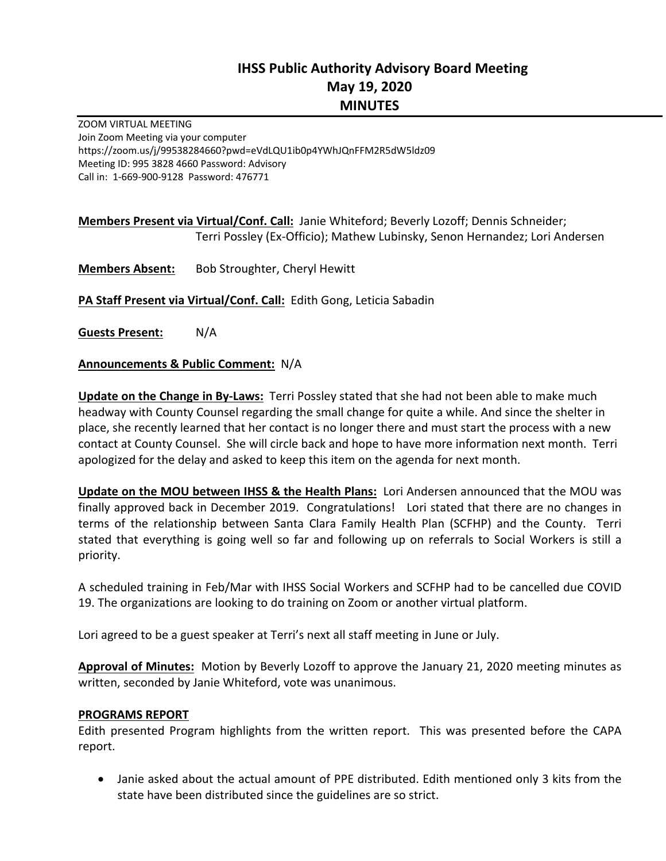# **IHSS Public Authority Advisory Board Meeting May 19, 2020 MINUTES**

ZOOM VIRTUAL MEETING Join Zoom Meeting via your computer https://zoom.us/j/99538284660?pwd=eVdLQU1ib0p4YWhJQnFFM2R5dW5ldz09 Meeting ID: 995 3828 4660 Password: Advisory Call in: 1‐669‐900‐9128 Password: 476771

**Members Present via Virtual/Conf. Call:** Janie Whiteford; Beverly Lozoff; Dennis Schneider; Terri Possley (Ex‐Officio); Mathew Lubinsky, Senon Hernandez; Lori Andersen

**Members Absent:** Bob Stroughter, Cheryl Hewitt

**PA Staff Present via Virtual/Conf. Call:** Edith Gong, Leticia Sabadin

**Guests Present:** N/A

#### **Announcements & Public Comment:** N/A

**Update on the Change in By-Laws:** Terri Possley stated that she had not been able to make much headway with County Counsel regarding the small change for quite a while. And since the shelter in place, she recently learned that her contact is no longer there and must start the process with a new contact at County Counsel. She will circle back and hope to have more information next month. Terri apologized for the delay and asked to keep this item on the agenda for next month.

**Update on the MOU between IHSS & the Health Plans:** Lori Andersen announced that the MOU was finally approved back in December 2019. Congratulations! Lori stated that there are no changes in terms of the relationship between Santa Clara Family Health Plan (SCFHP) and the County. Terri stated that everything is going well so far and following up on referrals to Social Workers is still a priority.

A scheduled training in Feb/Mar with IHSS Social Workers and SCFHP had to be cancelled due COVID 19. The organizations are looking to do training on Zoom or another virtual platform.

Lori agreed to be a guest speaker at Terri's next all staff meeting in June or July.

**Approval of Minutes:** Motion by Beverly Lozoff to approve the January 21, 2020 meeting minutes as written, seconded by Janie Whiteford, vote was unanimous.

#### **PROGRAMS REPORT**

Edith presented Program highlights from the written report. This was presented before the CAPA report.

 Janie asked about the actual amount of PPE distributed. Edith mentioned only 3 kits from the state have been distributed since the guidelines are so strict.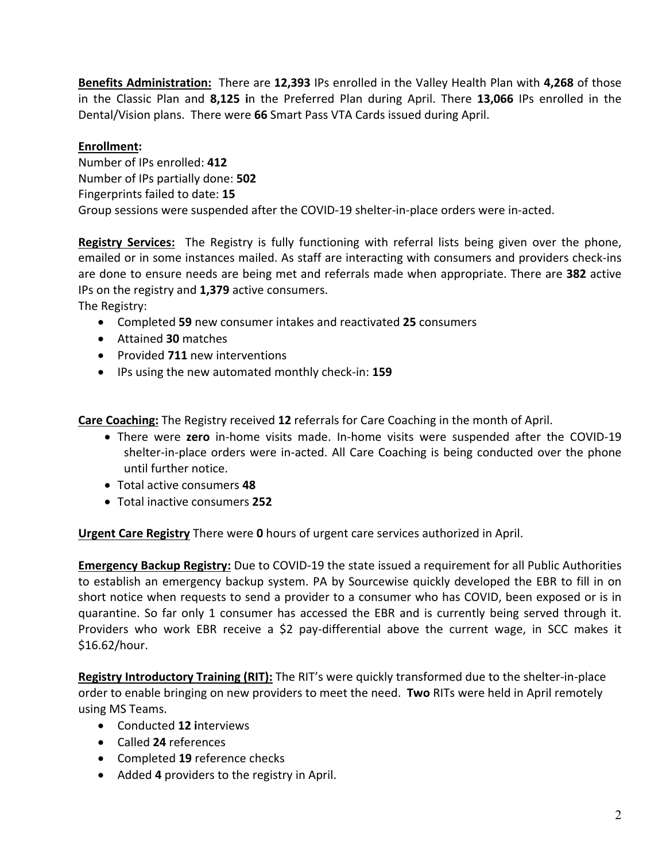**Benefits Administration:** There are **12,393** IPs enrolled in the Valley Health Plan with **4,268** of those in the Classic Plan and **8,125 i**n the Preferred Plan during April. There **13,066** IPs enrolled in the Dental/Vision plans. There were **66** Smart Pass VTA Cards issued during April.

### **Enrollment:**

Number of IPs enrolled: **412**  Number of IPs partially done: **502** Fingerprints failed to date: **15**  Group sessions were suspended after the COVID‐19 shelter‐in‐place orders were in‐acted.

**Registry Services:** The Registry is fully functioning with referral lists being given over the phone, emailed or in some instances mailed. As staff are interacting with consumers and providers check-ins are done to ensure needs are being met and referrals made when appropriate. There are **382** active IPs on the registry and **1,379** active consumers.

The Registry:

- Completed **59** new consumer intakes and reactivated **25** consumers
- Attained **30** matches
- Provided **711** new interventions
- IPs using the new automated monthly check‐in: **159**

**Care Coaching:** The Registry received **12** referrals for Care Coaching in the month of April.

- There were **zero**  in‐home visits made. In‐home visits were suspended after the COVID‐19 shelter‐in‐place orders were in‐acted. All Care Coaching is being conducted over the phone until further notice.
- Total active consumers **48**
- Total inactive consumers **252**

**Urgent Care Registry** There were **0** hours of urgent care services authorized in April.

**Emergency Backup Registry:** Due to COVID‐19 the state issued a requirement for all Public Authorities to establish an emergency backup system. PA by Sourcewise quickly developed the EBR to fill in on short notice when requests to send a provider to a consumer who has COVID, been exposed or is in quarantine. So far only 1 consumer has accessed the EBR and is currently being served through it. Providers who work EBR receive a \$2 pay-differential above the current wage, in SCC makes it \$16.62/hour.

**Registry Introductory Training (RIT):** The RIT's were quickly transformed due to the shelter‐in‐place order to enable bringing on new providers to meet the need. **Two** RITs were held in April remotely using MS Teams.

- Conducted **12 i**nterviews
- Called **24** references
- Completed **19** reference checks
- Added **4** providers to the registry in April.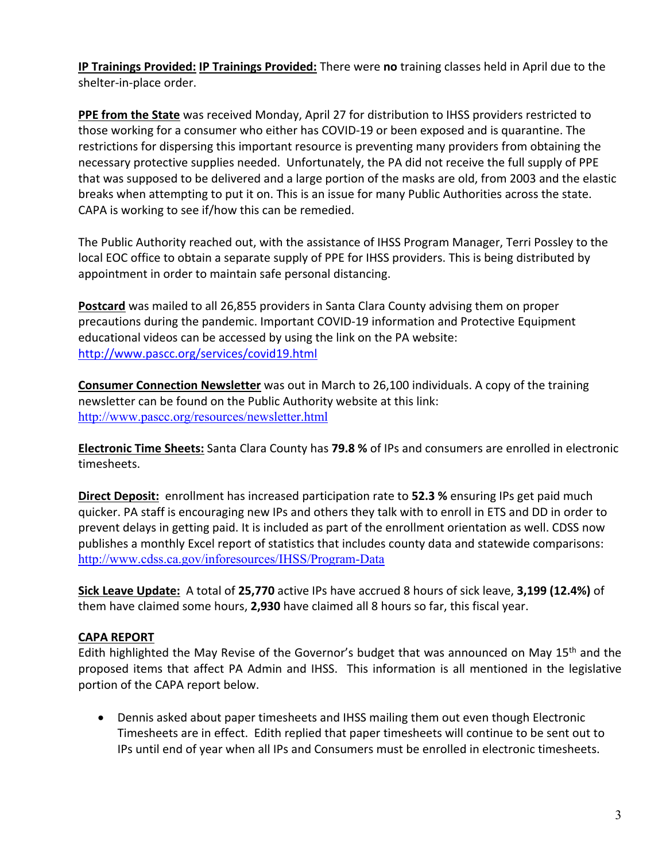**IP Trainings Provided: IP Trainings Provided:** There were **no** training classes held in April due to the shelter‐in‐place order.

**PPE from the State** was received Monday, April 27 for distribution to IHSS providers restricted to those working for a consumer who either has COVID‐19 or been exposed and is quarantine. The restrictions for dispersing this important resource is preventing many providers from obtaining the necessary protective supplies needed. Unfortunately, the PA did not receive the full supply of PPE that was supposed to be delivered and a large portion of the masks are old, from 2003 and the elastic breaks when attempting to put it on. This is an issue for many Public Authorities across the state. CAPA is working to see if/how this can be remedied.

The Public Authority reached out, with the assistance of IHSS Program Manager, Terri Possley to the local EOC office to obtain a separate supply of PPE for IHSS providers. This is being distributed by appointment in order to maintain safe personal distancing.

**Postcard** was mailed to all 26,855 providers in Santa Clara County advising them on proper precautions during the pandemic. Important COVID‐19 information and Protective Equipment educational videos can be accessed by using the link on the PA website: http://www.pascc.org/services/covid19.html

**Consumer Connection Newsletter** was out in March to 26,100 individuals. A copy of the training newsletter can be found on the Public Authority website at this link: http://www.pascc.org/resources/newsletter.html

**Electronic Time Sheets:** Santa Clara County has **79.8 %** of IPs and consumers are enrolled in electronic timesheets.

**Direct Deposit:** enrollment has increased participation rate to **52.3 %** ensuring IPs get paid much quicker. PA staff is encouraging new IPs and others they talk with to enroll in ETS and DD in order to prevent delays in getting paid. It is included as part of the enrollment orientation as well. CDSS now publishes a monthly Excel report of statistics that includes county data and statewide comparisons: http://www.cdss.ca.gov/inforesources/IHSS/Program-Data

**Sick Leave Update:** A total of **25,770** active IPs have accrued 8 hours of sick leave, **3,199 (12.4%)** of them have claimed some hours, **2,930** have claimed all 8 hours so far, this fiscal year.

## **CAPA REPORT**

Edith highlighted the May Revise of the Governor's budget that was announced on May 15<sup>th</sup> and the proposed items that affect PA Admin and IHSS. This information is all mentioned in the legislative portion of the CAPA report below.

 Dennis asked about paper timesheets and IHSS mailing them out even though Electronic Timesheets are in effect. Edith replied that paper timesheets will continue to be sent out to IPs until end of year when all IPs and Consumers must be enrolled in electronic timesheets.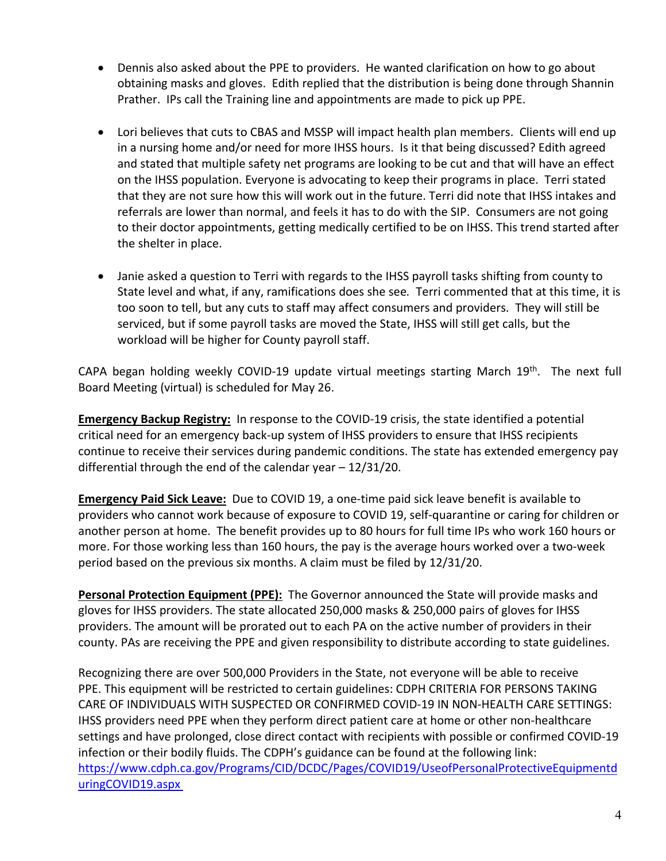- Dennis also asked about the PPE to providers. He wanted clarification on how to go about obtaining masks and gloves. Edith replied that the distribution is being done through Shannin Prather. IPs call the Training line and appointments are made to pick up PPE.
- Lori believes that cuts to CBAS and MSSP will impact health plan members. Clients will end up in a nursing home and/or need for more IHSS hours. Is it that being discussed? Edith agreed and stated that multiple safety net programs are looking to be cut and that will have an effect on the IHSS population. Everyone is advocating to keep their programs in place. Terri stated that they are not sure how this will work out in the future. Terri did note that IHSS intakes and referrals are lower than normal, and feels it has to do with the SIP. Consumers are not going to their doctor appointments, getting medically certified to be on IHSS. This trend started after the shelter in place.
- Janie asked a question to Terri with regards to the IHSS payroll tasks shifting from county to State level and what, if any, ramifications does she see*.* Terri commented that at this time, it is too soon to tell, but any cuts to staff may affect consumers and providers. They will still be serviced, but if some payroll tasks are moved the State, IHSS will still get calls, but the workload will be higher for County payroll staff.

CAPA began holding weekly COVID-19 update virtual meetings starting March  $19<sup>th</sup>$ . The next full Board Meeting (virtual) is scheduled for May 26.

**Emergency Backup Registry:** In response to the COVID-19 crisis, the state identified a potential critical need for an emergency back‐up system of IHSS providers to ensure that IHSS recipients continue to receive their services during pandemic conditions. The state has extended emergency pay differential through the end of the calendar year – 12/31/20.

**Emergency Paid Sick Leave:** Due to COVID 19, a one‐time paid sick leave benefit is available to providers who cannot work because of exposure to COVID 19, self‐quarantine or caring for children or another person at home. The benefit provides up to 80 hours for full time IPs who work 160 hours or more. For those working less than 160 hours, the pay is the average hours worked over a two-week period based on the previous six months. A claim must be filed by 12/31/20.

**Personal Protection Equipment (PPE):** The Governor announced the State will provide masks and gloves for IHSS providers. The state allocated 250,000 masks & 250,000 pairs of gloves for IHSS providers. The amount will be prorated out to each PA on the active number of providers in their county. PAs are receiving the PPE and given responsibility to distribute according to state guidelines.

Recognizing there are over 500,000 Providers in the State, not everyone will be able to receive PPE. This equipment will be restricted to certain guidelines: CDPH CRITERIA FOR PERSONS TAKING CARE OF INDIVIDUALS WITH SUSPECTED OR CONFIRMED COVID‐19 IN NON‐HEALTH CARE SETTINGS: IHSS providers need PPE when they perform direct patient care at home or other non‐healthcare settings and have prolonged, close direct contact with recipients with possible or confirmed COVID‐19 infection or their bodily fluids. The CDPH's guidance can be found at the following link: https://www.cdph.ca.gov/Programs/CID/DCDC/Pages/COVID19/UseofPersonalProtectiveEquipmentd uringCOVID19.aspx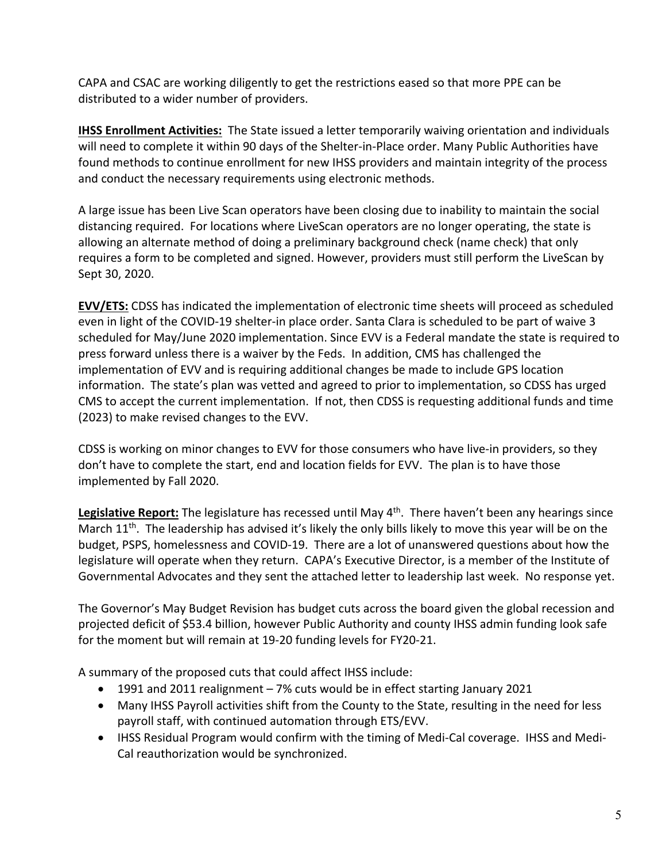CAPA and CSAC are working diligently to get the restrictions eased so that more PPE can be distributed to a wider number of providers.

**IHSS Enrollment Activities:** The State issued a letter temporarily waiving orientation and individuals will need to complete it within 90 days of the Shelter-in-Place order. Many Public Authorities have found methods to continue enrollment for new IHSS providers and maintain integrity of the process and conduct the necessary requirements using electronic methods.

A large issue has been Live Scan operators have been closing due to inability to maintain the social distancing required. For locations where LiveScan operators are no longer operating, the state is allowing an alternate method of doing a preliminary background check (name check) that only requires a form to be completed and signed. However, providers must still perform the LiveScan by Sept 30, 2020.

**EVV/ETS:** CDSS has indicated the implementation of electronic time sheets will proceed as scheduled even in light of the COVID-19 shelter-in place order. Santa Clara is scheduled to be part of waive 3 scheduled for May/June 2020 implementation. Since EVV is a Federal mandate the state is required to press forward unless there is a waiver by the Feds. In addition, CMS has challenged the implementation of EVV and is requiring additional changes be made to include GPS location information. The state's plan was vetted and agreed to prior to implementation, so CDSS has urged CMS to accept the current implementation. If not, then CDSS is requesting additional funds and time (2023) to make revised changes to the EVV.

CDSS is working on minor changes to EVV for those consumers who have live‐in providers, so they don't have to complete the start, end and location fields for EVV. The plan is to have those implemented by Fall 2020.

Legislative Report: The legislature has recessed until May 4<sup>th</sup>. There haven't been any hearings since March  $11^{th}$ . The leadership has advised it's likely the only bills likely to move this year will be on the budget, PSPS, homelessness and COVID‐19. There are a lot of unanswered questions about how the legislature will operate when they return. CAPA's Executive Director, is a member of the Institute of Governmental Advocates and they sent the attached letter to leadership last week. No response yet.

The Governor's May Budget Revision has budget cuts across the board given the global recession and projected deficit of \$53.4 billion, however Public Authority and county IHSS admin funding look safe for the moment but will remain at 19‐20 funding levels for FY20‐21.

A summary of the proposed cuts that could affect IHSS include:

- 1991 and 2011 realignment 7% cuts would be in effect starting January 2021
- Many IHSS Payroll activities shift from the County to the State, resulting in the need for less payroll staff, with continued automation through ETS/EVV.
- IHSS Residual Program would confirm with the timing of Medi-Cal coverage. IHSS and Medi-Cal reauthorization would be synchronized.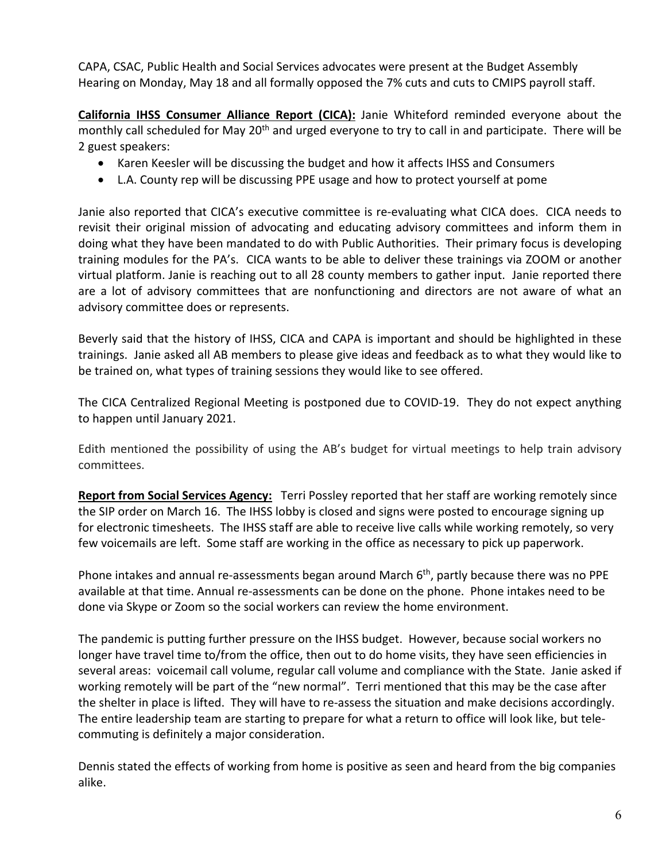CAPA, CSAC, Public Health and Social Services advocates were present at the Budget Assembly Hearing on Monday, May 18 and all formally opposed the 7% cuts and cuts to CMIPS payroll staff.

**California IHSS Consumer Alliance Report (CICA):** Janie Whiteford reminded everyone about the monthly call scheduled for May 20<sup>th</sup> and urged everyone to try to call in and participate. There will be 2 guest speakers:

- Karen Keesler will be discussing the budget and how it affects IHSS and Consumers
- L.A. County rep will be discussing PPE usage and how to protect yourself at pome

Janie also reported that CICA's executive committee is re‐evaluating what CICA does. CICA needs to revisit their original mission of advocating and educating advisory committees and inform them in doing what they have been mandated to do with Public Authorities. Their primary focus is developing training modules for the PA's. CICA wants to be able to deliver these trainings via ZOOM or another virtual platform. Janie is reaching out to all 28 county members to gather input. Janie reported there are a lot of advisory committees that are nonfunctioning and directors are not aware of what an advisory committee does or represents.

Beverly said that the history of IHSS, CICA and CAPA is important and should be highlighted in these trainings. Janie asked all AB members to please give ideas and feedback as to what they would like to be trained on, what types of training sessions they would like to see offered.

The CICA Centralized Regional Meeting is postponed due to COVID‐19. They do not expect anything to happen until January 2021.

Edith mentioned the possibility of using the AB's budget for virtual meetings to help train advisory committees.

**Report from Social Services Agency:** Terri Possley reported that her staff are working remotely since the SIP order on March 16. The IHSS lobby is closed and signs were posted to encourage signing up for electronic timesheets. The IHSS staff are able to receive live calls while working remotely, so very few voicemails are left. Some staff are working in the office as necessary to pick up paperwork.

Phone intakes and annual re-assessments began around March 6<sup>th</sup>, partly because there was no PPE available at that time. Annual re-assessments can be done on the phone. Phone intakes need to be done via Skype or Zoom so the social workers can review the home environment.

The pandemic is putting further pressure on the IHSS budget. However, because social workers no longer have travel time to/from the office, then out to do home visits, they have seen efficiencies in several areas: voicemail call volume, regular call volume and compliance with the State. Janie asked if working remotely will be part of the "new normal". Terri mentioned that this may be the case after the shelter in place is lifted. They will have to re-assess the situation and make decisions accordingly. The entire leadership team are starting to prepare for what a return to office will look like, but tele‐ commuting is definitely a major consideration.

Dennis stated the effects of working from home is positive as seen and heard from the big companies alike.